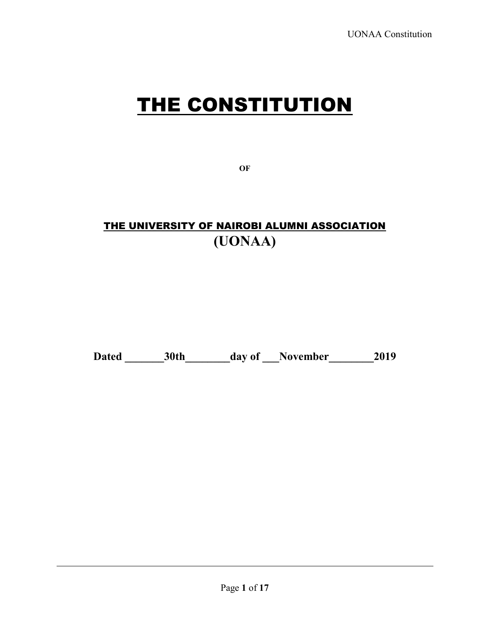# THE CONSTITUTION

**OF**

# THE UNIVERSITY OF NAIROBI ALUMNI ASSOCIATION **(UONAA)**

**Dated \_\_\_\_\_\_\_30th\_\_\_\_\_\_\_\_day of \_\_\_November\_\_\_\_\_\_\_\_2019**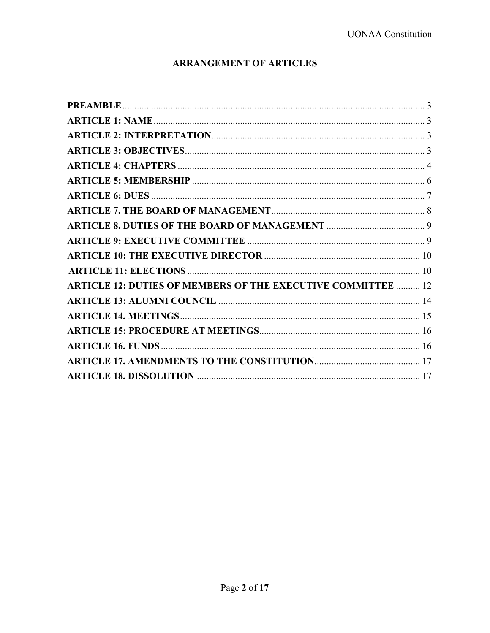# **ARRANGEMENT OF ARTICLES**

| <b>ARTICLE 12: DUTIES OF MEMBERS OF THE EXECUTIVE COMMITTEE  12</b> |  |
|---------------------------------------------------------------------|--|
|                                                                     |  |
|                                                                     |  |
|                                                                     |  |
|                                                                     |  |
|                                                                     |  |
|                                                                     |  |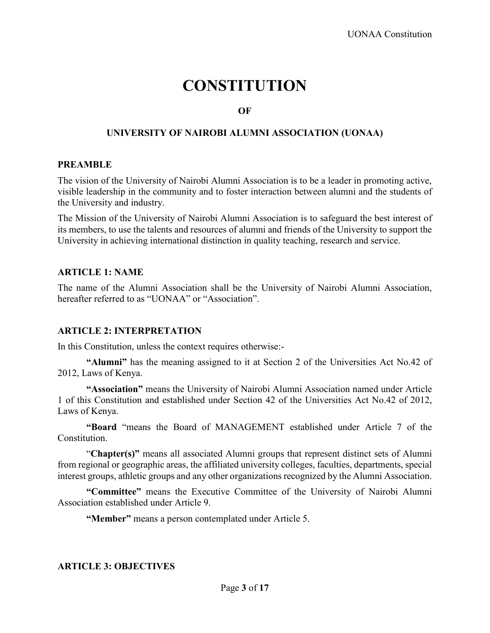# **CONSTITUTION**

#### **OF**

# **UNIVERSITY OF NAIROBI ALUMNI ASSOCIATION (UONAA)**

#### <span id="page-2-0"></span>**PREAMBLE**

The vision of the University of Nairobi Alumni Association is to be a leader in promoting active, visible leadership in the community and to foster interaction between alumni and the students of the University and industry.

The Mission of the University of Nairobi Alumni Association is to safeguard the best interest of its members, to use the talents and resources of alumni and friends of the University to support the University in achieving international distinction in quality teaching, research and service.

#### <span id="page-2-1"></span>**ARTICLE 1: NAME**

The name of the Alumni Association shall be the University of Nairobi Alumni Association, hereafter referred to as "UONAA" or "Association".

#### <span id="page-2-2"></span>**ARTICLE 2: INTERPRETATION**

In this Constitution, unless the context requires otherwise:-

**"Alumni"** has the meaning assigned to it at Section 2 of the Universities Act No.42 of 2012, Laws of Kenya.

**"Association"** means the University of Nairobi Alumni Association named under Article 1 of this Constitution and established under Section 42 of the Universities Act No.42 of 2012, Laws of Kenya.

**"Board** "means the Board of MANAGEMENT established under Article 7 of the Constitution.

"**Chapter(s)"** means all associated Alumni groups that represent distinct sets of Alumni from regional or geographic areas, the affiliated university colleges, faculties, departments, special interest groups, athletic groups and any other organizations recognized by the Alumni Association.

**"Committee"** means the Executive Committee of the University of Nairobi Alumni Association established under Article 9.

**"Member"** means a person contemplated under Article 5.

#### <span id="page-2-3"></span>**ARTICLE 3: OBJECTIVES**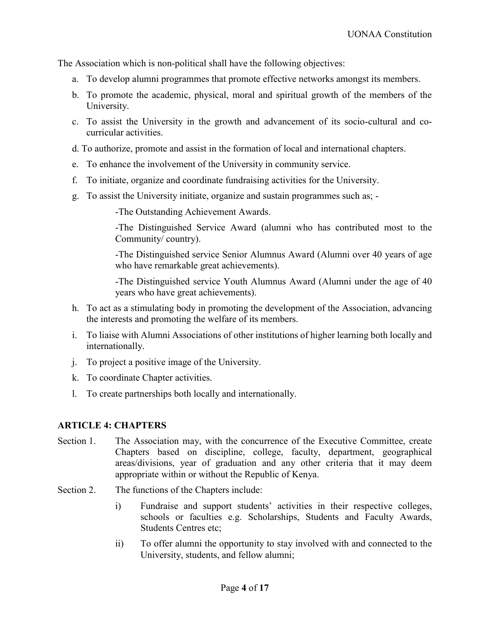The Association which is non-political shall have the following objectives:

- a. To develop alumni programmes that promote effective networks amongst its members.
- b. To promote the academic, physical, moral and spiritual growth of the members of the University.
- c. To assist the University in the growth and advancement of its socio-cultural and cocurricular activities.
- d. To authorize, promote and assist in the formation of local and international chapters.
- e. To enhance the involvement of the University in community service.
- f. To initiate, organize and coordinate fundraising activities for the University.
- g. To assist the University initiate, organize and sustain programmes such as; -

-The Outstanding Achievement Awards.

-The Distinguished Service Award (alumni who has contributed most to the Community/ country).

-The Distinguished service Senior Alumnus Award (Alumni over 40 years of age who have remarkable great achievements).

-The Distinguished service Youth Alumnus Award (Alumni under the age of 40 years who have great achievements).

- h. To act as a stimulating body in promoting the development of the Association, advancing the interests and promoting the welfare of its members.
- i. To liaise with Alumni Associations of other institutions of higher learning both locally and internationally.
- j. To project a positive image of the University.
- k. To coordinate Chapter activities.
- l. To create partnerships both locally and internationally.

# <span id="page-3-0"></span>**ARTICLE 4: CHAPTERS**

- Section 1. The Association may, with the concurrence of the Executive Committee, create Chapters based on discipline, college, faculty, department, geographical areas/divisions, year of graduation and any other criteria that it may deem appropriate within or without the Republic of Kenya.
- Section 2. The functions of the Chapters include:
	- i) Fundraise and support students' activities in their respective colleges, schools or faculties e.g. Scholarships, Students and Faculty Awards, Students Centres etc;
	- ii) To offer alumni the opportunity to stay involved with and connected to the University, students, and fellow alumni;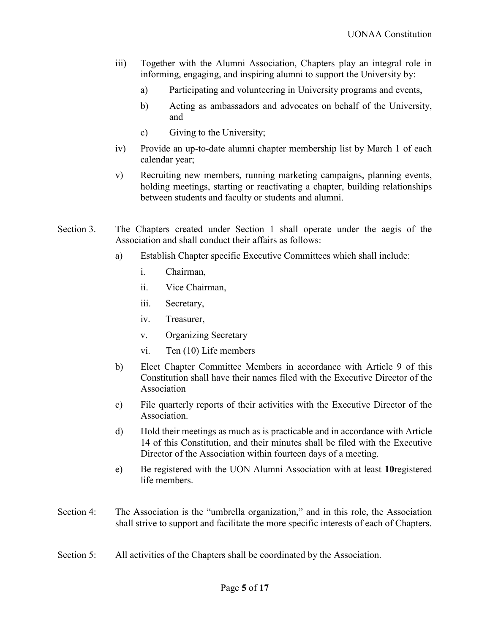- iii) Together with the Alumni Association, Chapters play an integral role in informing, engaging, and inspiring alumni to support the University by:
	- a) Participating and volunteering in University programs and events,
	- b) Acting as ambassadors and advocates on behalf of the University, and
	- c) Giving to the University;
- iv) Provide an up-to-date alumni chapter membership list by March 1 of each calendar year;
- v) Recruiting new members, running marketing campaigns, planning events, holding meetings, starting or reactivating a chapter, building relationships between students and faculty or students and alumni.
- Section 3. The Chapters created under Section 1 shall operate under the aegis of the Association and shall conduct their affairs as follows:
	- a) Establish Chapter specific Executive Committees which shall include:
		- i. Chairman,
		- ii. Vice Chairman,
		- iii. Secretary,
		- iv. Treasurer,
		- v. Organizing Secretary
		- vi. Ten (10) Life members
	- b) Elect Chapter Committee Members in accordance with Article 9 of this Constitution shall have their names filed with the Executive Director of the Association
	- c) File quarterly reports of their activities with the Executive Director of the Association.
	- d) Hold their meetings as much as is practicable and in accordance with Article 14 of this Constitution, and their minutes shall be filed with the Executive Director of the Association within fourteen days of a meeting.
	- e) Be registered with the UON Alumni Association with at least **10**registered life members.
- Section 4: The Association is the "umbrella organization," and in this role, the Association shall strive to support and facilitate the more specific interests of each of Chapters.
- Section 5: All activities of the Chapters shall be coordinated by the Association.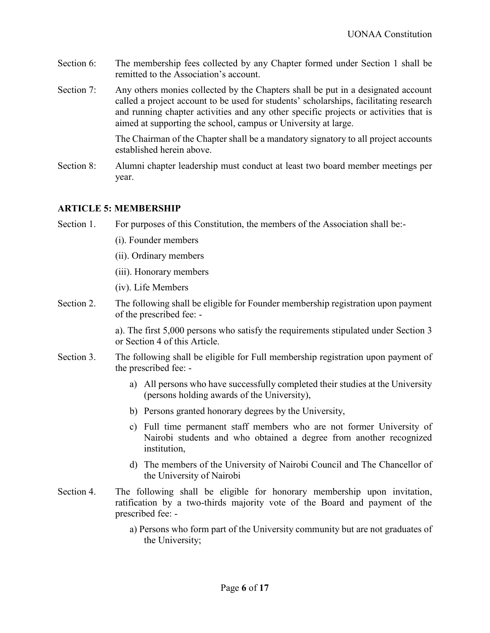- Section 6: The membership fees collected by any Chapter formed under Section 1 shall be remitted to the Association's account.
- Section 7: Any others monies collected by the Chapters shall be put in a designated account called a project account to be used for students' scholarships, facilitating research and running chapter activities and any other specific projects or activities that is aimed at supporting the school, campus or University at large.

The Chairman of the Chapter shall be a mandatory signatory to all project accounts established herein above.

Section 8: Alumni chapter leadership must conduct at least two board member meetings per year.

#### <span id="page-5-0"></span>**ARTICLE 5: MEMBERSHIP**

Section 1. For purposes of this Constitution, the members of the Association shall be:-

- (i). Founder members
- (ii). Ordinary members
- (iii). Honorary members

(iv). Life Members

Section 2. The following shall be eligible for Founder membership registration upon payment of the prescribed fee: -

> a). The first 5,000 persons who satisfy the requirements stipulated under Section 3 or Section 4 of this Article.

- Section 3. The following shall be eligible for Full membership registration upon payment of the prescribed fee:
	- a) All persons who have successfully completed their studies at the University (persons holding awards of the University),
	- b) Persons granted honorary degrees by the University,
	- c) Full time permanent staff members who are not former University of Nairobi students and who obtained a degree from another recognized institution,
	- d) The members of the University of Nairobi Council and The Chancellor of the University of Nairobi
- Section 4. The following shall be eligible for honorary membership upon invitation, ratification by a two-thirds majority vote of the Board and payment of the prescribed fee:
	- a) Persons who form part of the University community but are not graduates of the University;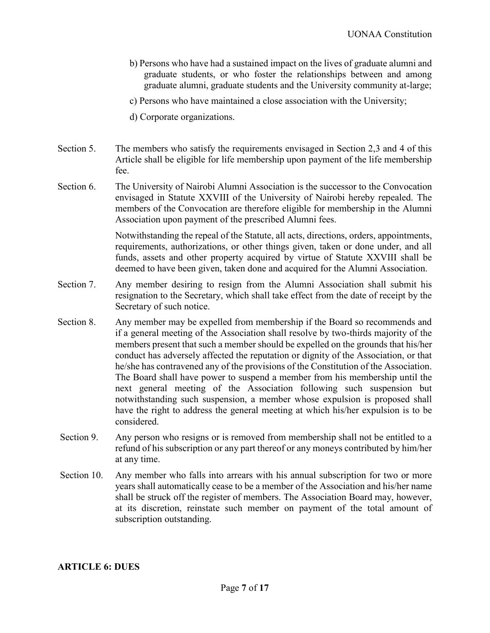- b) Persons who have had a sustained impact on the lives of graduate alumni and graduate students, or who foster the relationships between and among graduate alumni, graduate students and the University community at-large;
- c) Persons who have maintained a close association with the University;
- d) Corporate organizations.
- Section 5. The members who satisfy the requirements envisaged in Section 2,3 and 4 of this Article shall be eligible for life membership upon payment of the life membership fee.
- Section 6. The University of Nairobi Alumni Association is the successor to the Convocation envisaged in Statute XXVIII of the University of Nairobi hereby repealed. The members of the Convocation are therefore eligible for membership in the Alumni Association upon payment of the prescribed Alumni fees.

Notwithstanding the repeal of the Statute, all acts, directions, orders, appointments, requirements, authorizations, or other things given, taken or done under, and all funds, assets and other property acquired by virtue of Statute XXVIII shall be deemed to have been given, taken done and acquired for the Alumni Association.

- Section 7. Any member desiring to resign from the Alumni Association shall submit his resignation to the Secretary, which shall take effect from the date of receipt by the Secretary of such notice.
- Section 8. Any member may be expelled from membership if the Board so recommends and if a general meeting of the Association shall resolve by two-thirds majority of the members present that such a member should be expelled on the grounds that his/her conduct has adversely affected the reputation or dignity of the Association, or that he/she has contravened any of the provisions of the Constitution of the Association. The Board shall have power to suspend a member from his membership until the next general meeting of the Association following such suspension but notwithstanding such suspension, a member whose expulsion is proposed shall have the right to address the general meeting at which his/her expulsion is to be considered.
- Section 9. Any person who resigns or is removed from membership shall not be entitled to a refund of his subscription or any part thereof or any moneys contributed by him/her at any time.
- Section 10. Any member who falls into arrears with his annual subscription for two or more years shall automatically cease to be a member of the Association and his/her name shall be struck off the register of members. The Association Board may, however, at its discretion, reinstate such member on payment of the total amount of subscription outstanding.

#### <span id="page-6-0"></span>**ARTICLE 6: DUES**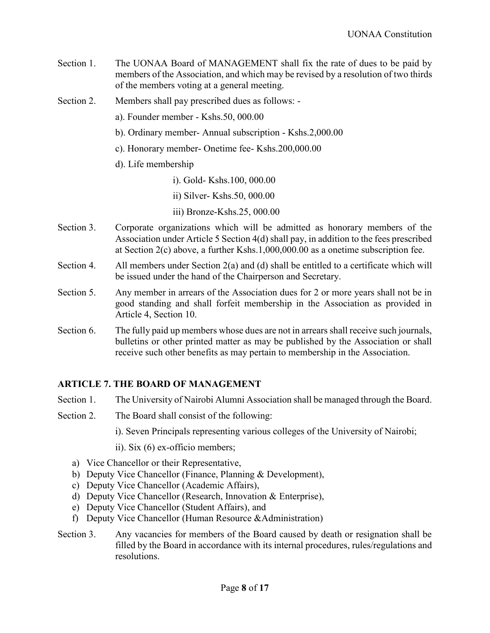- Section 1. The UONAA Board of MANAGEMENT shall fix the rate of dues to be paid by members of the Association, and which may be revised by a resolution of two thirds of the members voting at a general meeting.
- Section 2. Members shall pay prescribed dues as follows:
	- a). Founder member Kshs.50, 000.00
	- b). Ordinary member- Annual subscription Kshs.2,000.00
	- c). Honorary member- Onetime fee- Kshs.200,000.00
	- d). Life membership
		- i). Gold- Kshs.100, 000.00
		- ii) Silver- Kshs.50, 000.00
		- iii) Bronze-Kshs.25, 000.00
- Section 3. Corporate organizations which will be admitted as honorary members of the Association under Article 5 Section 4(d) shall pay, in addition to the fees prescribed at Section 2(c) above, a further Kshs.1,000,000.00 as a onetime subscription fee.
- Section 4. All members under Section 2(a) and (d) shall be entitled to a certificate which will be issued under the hand of the Chairperson and Secretary.
- Section 5. Any member in arrears of the Association dues for 2 or more years shall not be in good standing and shall forfeit membership in the Association as provided in Article 4, Section 10.
- Section 6. The fully paid up members whose dues are not in arrears shall receive such journals, bulletins or other printed matter as may be published by the Association or shall receive such other benefits as may pertain to membership in the Association.

# <span id="page-7-0"></span>**ARTICLE 7. THE BOARD OF MANAGEMENT**

- Section 1. The University of Nairobi Alumni Association shall be managed through the Board.
- Section 2. The Board shall consist of the following:
	- i). Seven Principals representing various colleges of the University of Nairobi;
	- ii). Six (6) ex-officio members;
	- a) Vice Chancellor or their Representative,
	- b) Deputy Vice Chancellor (Finance, Planning & Development),
	- c) Deputy Vice Chancellor (Academic Affairs),
	- d) Deputy Vice Chancellor (Research, Innovation & Enterprise),
	- e) Deputy Vice Chancellor (Student Affairs), and
	- f) Deputy Vice Chancellor (Human Resource &Administration)
- Section 3. Any vacancies for members of the Board caused by death or resignation shall be filled by the Board in accordance with its internal procedures, rules/regulations and resolutions.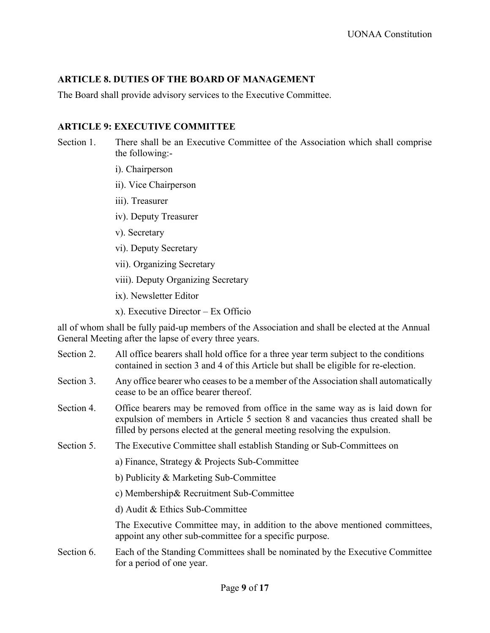# <span id="page-8-0"></span>**ARTICLE 8. DUTIES OF THE BOARD OF MANAGEMENT**

The Board shall provide advisory services to the Executive Committee.

# <span id="page-8-1"></span>**ARTICLE 9: EXECUTIVE COMMITTEE**

- Section 1. There shall be an Executive Committee of the Association which shall comprise the following:
	- i). Chairperson
	- ii). Vice Chairperson
	- iii). Treasurer
	- iv). Deputy Treasurer
	- v). Secretary
	- vi). Deputy Secretary
	- vii). Organizing Secretary
	- viii). Deputy Organizing Secretary
	- ix). Newsletter Editor
	- x). Executive Director Ex Officio

all of whom shall be fully paid-up members of the Association and shall be elected at the Annual General Meeting after the lapse of every three years.

- Section 2. All office bearers shall hold office for a three year term subject to the conditions contained in section 3 and 4 of this Article but shall be eligible for re-election.
- Section 3. Any office bearer who ceases to be a member of the Association shall automatically cease to be an office bearer thereof.
- Section 4. Office bearers may be removed from office in the same way as is laid down for expulsion of members in Article 5 section 8 and vacancies thus created shall be filled by persons elected at the general meeting resolving the expulsion.
- Section 5. The Executive Committee shall establish Standing or Sub-Committees on
	- a) Finance, Strategy & Projects Sub-Committee
	- b) Publicity & Marketing Sub-Committee
	- c) Membership& Recruitment Sub-Committee
	- d) Audit & Ethics Sub-Committee

The Executive Committee may, in addition to the above mentioned committees, appoint any other sub-committee for a specific purpose.

Section 6. Each of the Standing Committees shall be nominated by the Executive Committee for a period of one year.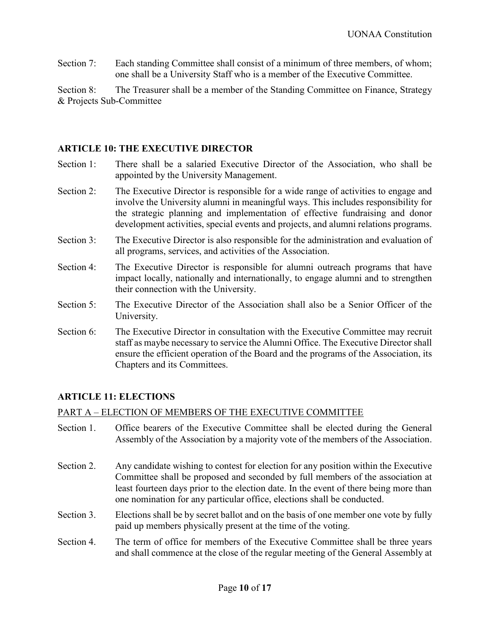Section 7: Each standing Committee shall consist of a minimum of three members, of whom; one shall be a University Staff who is a member of the Executive Committee.

Section 8: The Treasurer shall be a member of the Standing Committee on Finance, Strategy & Projects Sub-Committee

#### <span id="page-9-0"></span>**ARTICLE 10: THE EXECUTIVE DIRECTOR**

- Section 1: There shall be a salaried Executive Director of the Association, who shall be appointed by the University Management.
- Section 2: The Executive Director is responsible for a wide range of activities to engage and involve the University alumni in meaningful ways. This includes responsibility for the strategic planning and implementation of effective fundraising and donor development activities, special events and projects, and alumni relations programs.
- Section 3: The Executive Director is also responsible for the administration and evaluation of all programs, services, and activities of the Association.
- Section 4: The Executive Director is responsible for alumni outreach programs that have impact locally, nationally and internationally, to engage alumni and to strengthen their connection with the University.
- Section 5: The Executive Director of the Association shall also be a Senior Officer of the University.
- Section 6: The Executive Director in consultation with the Executive Committee may recruit staff as maybe necessary to service the Alumni Office. The Executive Director shall ensure the efficient operation of the Board and the programs of the Association, its Chapters and its Committees.

# <span id="page-9-1"></span>**ARTICLE 11: ELECTIONS**

#### PART A – ELECTION OF MEMBERS OF THE EXECUTIVE COMMITTEE

- Section 1. Office bearers of the Executive Committee shall be elected during the General Assembly of the Association by a majority vote of the members of the Association.
- Section 2. Any candidate wishing to contest for election for any position within the Executive Committee shall be proposed and seconded by full members of the association at least fourteen days prior to the election date. In the event of there being more than one nomination for any particular office, elections shall be conducted.
- Section 3. Elections shall be by secret ballot and on the basis of one member one vote by fully paid up members physically present at the time of the voting.
- Section 4. The term of office for members of the Executive Committee shall be three years and shall commence at the close of the regular meeting of the General Assembly at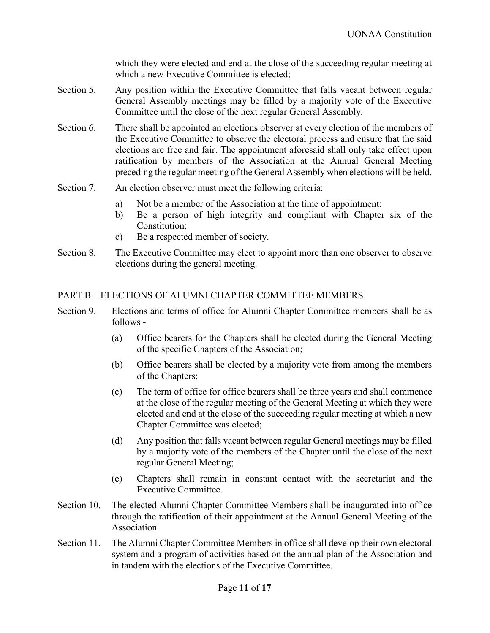which they were elected and end at the close of the succeeding regular meeting at which a new Executive Committee is elected;

- Section 5. Any position within the Executive Committee that falls vacant between regular General Assembly meetings may be filled by a majority vote of the Executive Committee until the close of the next regular General Assembly.
- Section 6. There shall be appointed an elections observer at every election of the members of the Executive Committee to observe the electoral process and ensure that the said elections are free and fair. The appointment aforesaid shall only take effect upon ratification by members of the Association at the Annual General Meeting preceding the regular meeting of the General Assembly when elections will be held.
- Section 7. An election observer must meet the following criteria:
	- a) Not be a member of the Association at the time of appointment;
	- b) Be a person of high integrity and compliant with Chapter six of the Constitution;
	- c) Be a respected member of society.
- Section 8. The Executive Committee may elect to appoint more than one observer to observe elections during the general meeting.

#### PART B – ELECTIONS OF ALUMNI CHAPTER COMMITTEE MEMBERS

- Section 9. Elections and terms of office for Alumni Chapter Committee members shall be as follows -
	- (a) Office bearers for the Chapters shall be elected during the General Meeting of the specific Chapters of the Association;
	- (b) Office bearers shall be elected by a majority vote from among the members of the Chapters;
	- (c) The term of office for office bearers shall be three years and shall commence at the close of the regular meeting of the General Meeting at which they were elected and end at the close of the succeeding regular meeting at which a new Chapter Committee was elected;
	- (d) Any position that falls vacant between regular General meetings may be filled by a majority vote of the members of the Chapter until the close of the next regular General Meeting;
	- (e) Chapters shall remain in constant contact with the secretariat and the Executive Committee.
- Section 10. The elected Alumni Chapter Committee Members shall be inaugurated into office through the ratification of their appointment at the Annual General Meeting of the Association.
- Section 11. The Alumni Chapter Committee Members in office shall develop their own electoral system and a program of activities based on the annual plan of the Association and in tandem with the elections of the Executive Committee.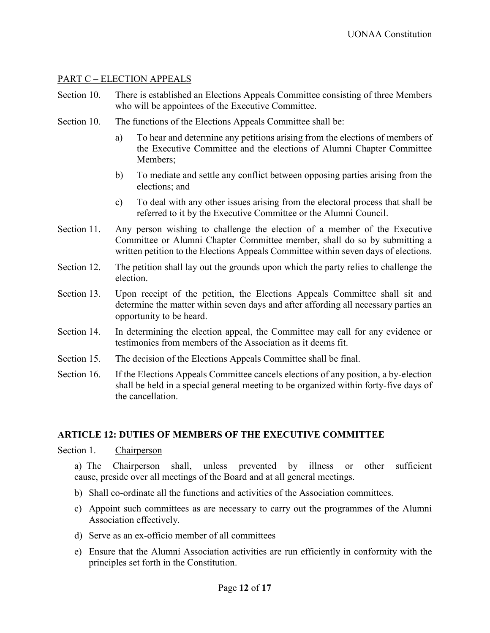### PART C – ELECTION APPEALS

- Section 10. There is established an Elections Appeals Committee consisting of three Members who will be appointees of the Executive Committee.
- Section 10. The functions of the Elections Appeals Committee shall be:
	- a) To hear and determine any petitions arising from the elections of members of the Executive Committee and the elections of Alumni Chapter Committee Members;
	- b) To mediate and settle any conflict between opposing parties arising from the elections; and
	- c) To deal with any other issues arising from the electoral process that shall be referred to it by the Executive Committee or the Alumni Council.
- Section 11. Any person wishing to challenge the election of a member of the Executive Committee or Alumni Chapter Committee member, shall do so by submitting a written petition to the Elections Appeals Committee within seven days of elections.
- Section 12. The petition shall lay out the grounds upon which the party relies to challenge the election.
- Section 13. Upon receipt of the petition, the Elections Appeals Committee shall sit and determine the matter within seven days and after affording all necessary parties an opportunity to be heard.
- Section 14. In determining the election appeal, the Committee may call for any evidence or testimonies from members of the Association as it deems fit.
- Section 15. The decision of the Elections Appeals Committee shall be final.
- Section 16. If the Elections Appeals Committee cancels elections of any position, a by-election shall be held in a special general meeting to be organized within forty-five days of the cancellation.

#### <span id="page-11-0"></span>**ARTICLE 12: DUTIES OF MEMBERS OF THE EXECUTIVE COMMITTEE**

Section 1. Chairperson

a) The Chairperson shall, unless prevented by illness or other sufficient cause, preside over all meetings of the Board and at all general meetings.

- b) Shall co-ordinate all the functions and activities of the Association committees.
- c) Appoint such committees as are necessary to carry out the programmes of the Alumni Association effectively.
- d) Serve as an ex-officio member of all committees
- e) Ensure that the Alumni Association activities are run efficiently in conformity with the principles set forth in the Constitution.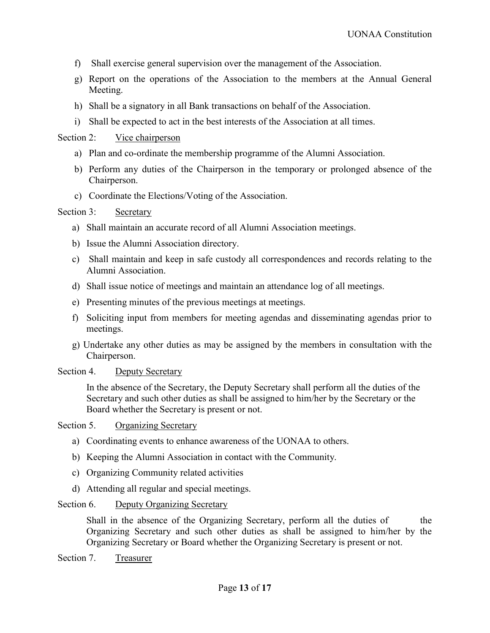- f) Shall exercise general supervision over the management of the Association.
- g) Report on the operations of the Association to the members at the Annual General Meeting.
- h) Shall be a signatory in all Bank transactions on behalf of the Association.
- i) Shall be expected to act in the best interests of the Association at all times.

#### Section 2: Vice chairperson

- a) Plan and co-ordinate the membership programme of the Alumni Association.
- b) Perform any duties of the Chairperson in the temporary or prolonged absence of the Chairperson.
- c) Coordinate the Elections/Voting of the Association.

#### Section 3: Secretary

- a) Shall maintain an accurate record of all Alumni Association meetings.
- b) Issue the Alumni Association directory.
- c) Shall maintain and keep in safe custody all correspondences and records relating to the Alumni Association.
- d) Shall issue notice of meetings and maintain an attendance log of all meetings.
- e) Presenting minutes of the previous meetings at meetings.
- f) Soliciting input from members for meeting agendas and disseminating agendas prior to meetings.
- g) Undertake any other duties as may be assigned by the members in consultation with the Chairperson.

#### Section 4. Deputy Secretary

In the absence of the Secretary, the Deputy Secretary shall perform all the duties of the Secretary and such other duties as shall be assigned to him/her by the Secretary or the Board whether the Secretary is present or not.

#### Section 5. Organizing Secretary

- a) Coordinating events to enhance awareness of the UONAA to others.
- b) Keeping the Alumni Association in contact with the Community.
- c) Organizing Community related activities
- d) Attending all regular and special meetings.

#### Section 6. Deputy Organizing Secretary

Shall in the absence of the Organizing Secretary, perform all the duties of the Organizing Secretary and such other duties as shall be assigned to him/her by the Organizing Secretary or Board whether the Organizing Secretary is present or not.

Section 7. Treasurer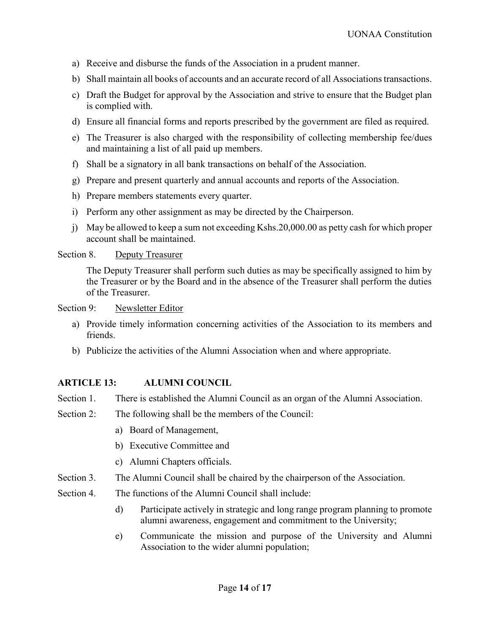- a) Receive and disburse the funds of the Association in a prudent manner.
- b) Shall maintain all books of accounts and an accurate record of all Associations transactions.
- c) Draft the Budget for approval by the Association and strive to ensure that the Budget plan is complied with.
- d) Ensure all financial forms and reports prescribed by the government are filed as required.
- e) The Treasurer is also charged with the responsibility of collecting membership fee/dues and maintaining a list of all paid up members.
- f) Shall be a signatory in all bank transactions on behalf of the Association.
- g) Prepare and present quarterly and annual accounts and reports of the Association.
- h) Prepare members statements every quarter.
- i) Perform any other assignment as may be directed by the Chairperson.
- j) May be allowed to keep a sum not exceeding Kshs.20,000.00 as petty cash for which proper account shall be maintained.

#### Section 8. Deputy Treasurer

The Deputy Treasurer shall perform such duties as may be specifically assigned to him by the Treasurer or by the Board and in the absence of the Treasurer shall perform the duties of the Treasurer.

Section 9: Newsletter Editor

- a) Provide timely information concerning activities of the Association to its members and friends.
- b) Publicize the activities of the Alumni Association when and where appropriate.

# <span id="page-13-0"></span>**ARTICLE 13: ALUMNI COUNCIL**

- Section 1. There is established the Alumni Council as an organ of the Alumni Association.
- Section 2: The following shall be the members of the Council:
	- a) Board of Management,
	- b) Executive Committee and
	- c) Alumni Chapters officials.
- Section 3. The Alumni Council shall be chaired by the chairperson of the Association.
- Section 4. The functions of the Alumni Council shall include:
	- d) Participate actively in strategic and long range program planning to promote alumni awareness, engagement and commitment to the University;
	- e) Communicate the mission and purpose of the University and Alumni Association to the wider alumni population;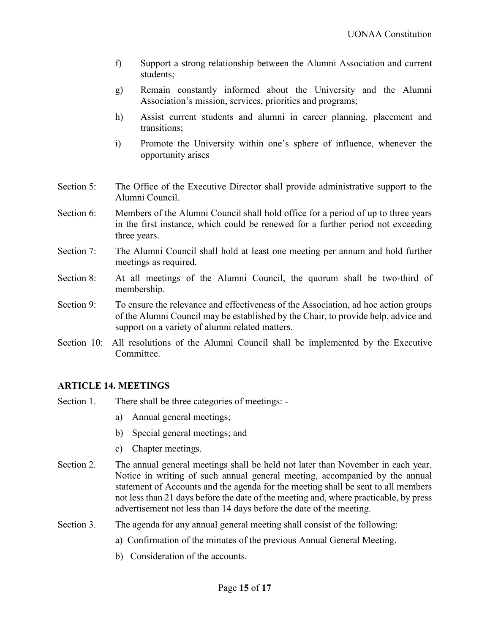- f) Support a strong relationship between the Alumni Association and current students;
- g) Remain constantly informed about the University and the Alumni Association's mission, services, priorities and programs;
- h) Assist current students and alumni in career planning, placement and transitions;
- i) Promote the University within one's sphere of influence, whenever the opportunity arises
- Section 5: The Office of the Executive Director shall provide administrative support to the Alumni Council.
- Section 6: Members of the Alumni Council shall hold office for a period of up to three years in the first instance, which could be renewed for a further period not exceeding three years.
- Section 7: The Alumni Council shall hold at least one meeting per annum and hold further meetings as required.
- Section 8: At all meetings of the Alumni Council, the quorum shall be two-third of membership.
- Section 9: To ensure the relevance and effectiveness of the Association, ad hoc action groups of the Alumni Council may be established by the Chair, to provide help, advice and support on a variety of alumni related matters.
- Section 10: All resolutions of the Alumni Council shall be implemented by the Executive Committee.

#### <span id="page-14-0"></span>**ARTICLE 14. MEETINGS**

- Section 1. There shall be three categories of meetings:
	- a) Annual general meetings;
	- b) Special general meetings; and
	- c) Chapter meetings.
- Section 2. The annual general meetings shall be held not later than November in each year. Notice in writing of such annual general meeting, accompanied by the annual statement of Accounts and the agenda for the meeting shall be sent to all members not less than 21 days before the date of the meeting and, where practicable, by press advertisement not less than 14 days before the date of the meeting.
- Section 3. The agenda for any annual general meeting shall consist of the following:
	- a) Confirmation of the minutes of the previous Annual General Meeting.
	- b) Consideration of the accounts.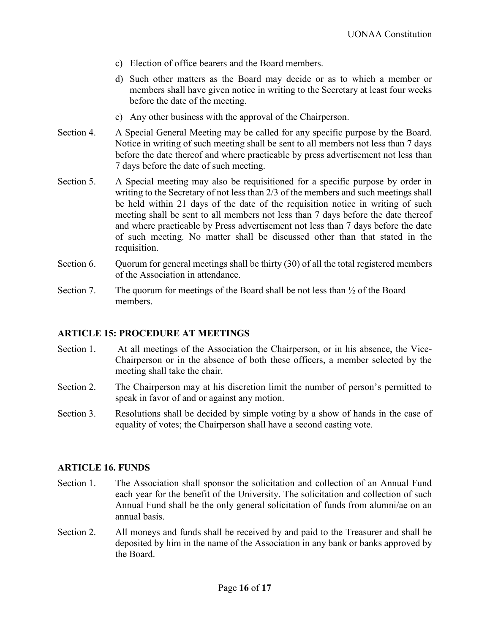- c) Election of office bearers and the Board members.
- d) Such other matters as the Board may decide or as to which a member or members shall have given notice in writing to the Secretary at least four weeks before the date of the meeting.
- e) Any other business with the approval of the Chairperson.
- Section 4. A Special General Meeting may be called for any specific purpose by the Board. Notice in writing of such meeting shall be sent to all members not less than 7 days before the date thereof and where practicable by press advertisement not less than 7 days before the date of such meeting.
- Section 5. A Special meeting may also be requisitioned for a specific purpose by order in writing to the Secretary of not less than 2/3 of the members and such meetings shall be held within 21 days of the date of the requisition notice in writing of such meeting shall be sent to all members not less than 7 days before the date thereof and where practicable by Press advertisement not less than 7 days before the date of such meeting. No matter shall be discussed other than that stated in the requisition.
- Section 6. Quorum for general meetings shall be thirty (30) of all the total registered members of the Association in attendance.
- Section 7. The quorum for meetings of the Board shall be not less than  $\frac{1}{2}$  of the Board members.

#### <span id="page-15-0"></span>**ARTICLE 15: PROCEDURE AT MEETINGS**

- Section 1. At all meetings of the Association the Chairperson, or in his absence, the Vice-Chairperson or in the absence of both these officers, a member selected by the meeting shall take the chair.
- Section 2. The Chairperson may at his discretion limit the number of person's permitted to speak in favor of and or against any motion.
- Section 3. Resolutions shall be decided by simple voting by a show of hands in the case of equality of votes; the Chairperson shall have a second casting vote.

#### <span id="page-15-1"></span>**ARTICLE 16. FUNDS**

- Section 1. The Association shall sponsor the solicitation and collection of an Annual Fund each year for the benefit of the University. The solicitation and collection of such Annual Fund shall be the only general solicitation of funds from alumni/ae on an annual basis.
- Section 2. All moneys and funds shall be received by and paid to the Treasurer and shall be deposited by him in the name of the Association in any bank or banks approved by the Board.